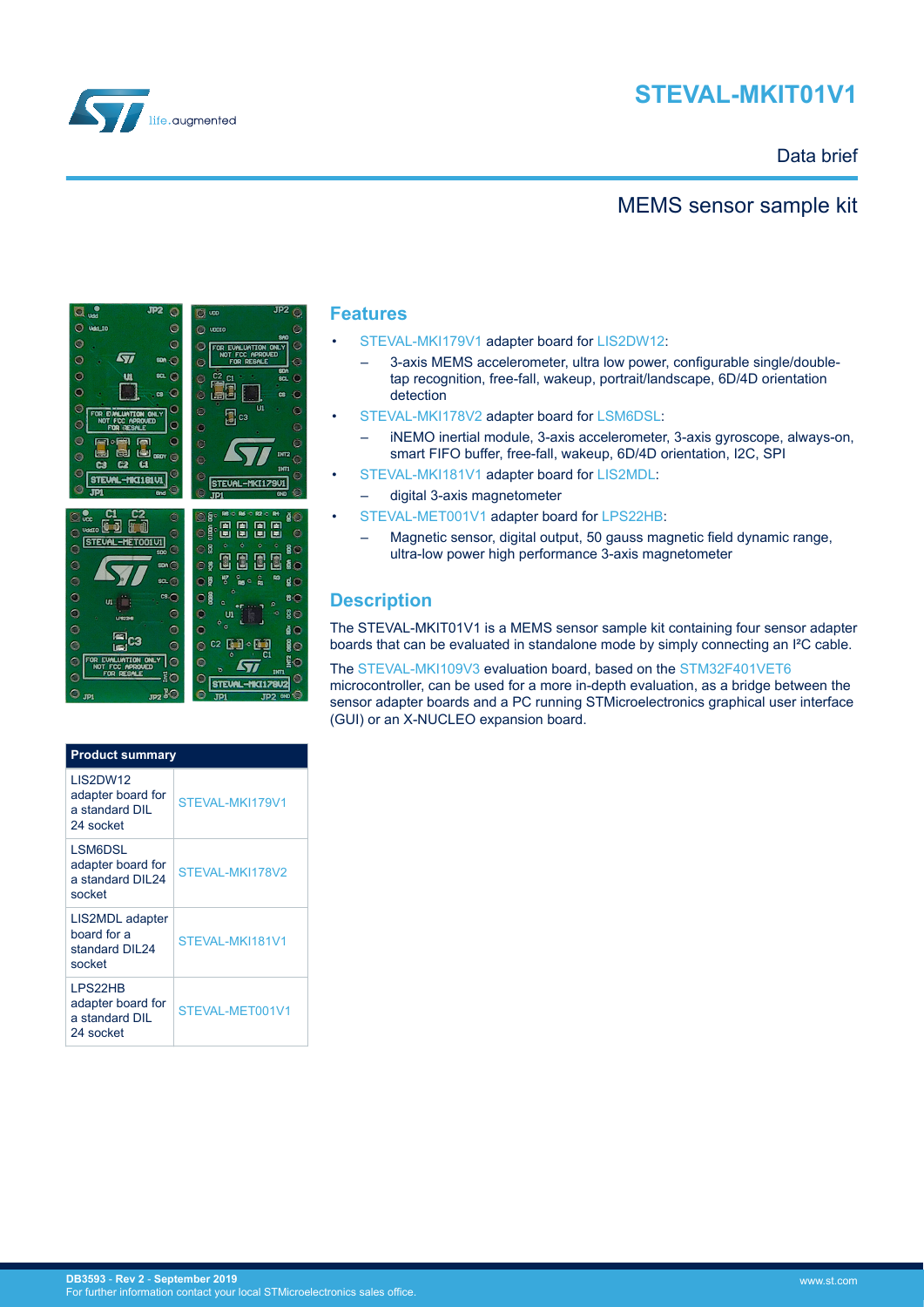



## Data brief

# MEMS sensor sample kit



#### **Features**

- [STEVAL-MKI179V1](https://www.st.com/en/product/steval-mki179v1) adapter board for [LIS2DW12](https://www.st.com/en/product/lis2dw12):
	- 3-axis MEMS accelerometer, ultra low power, configurable single/doubletap recognition, free-fall, wakeup, portrait/landscape, 6D/4D orientation detection
- [STEVAL-MKI178V2](https://www.st.com/en/product/steval-mki178v2) adapter board for [LSM6DSL:](https://www.st.com/en/product/lsm6dsl)
	- iNEMO inertial module, 3-axis accelerometer, 3-axis gyroscope, always-on, smart FIFO buffer, free-fall, wakeup, 6D/4D orientation, I2C, SPI
- [STEVAL-MKI181V1](https://www.st.com/en/product/steval-mki181v1) adapter board for [LIS2MDL](https://www.st.com/en/product/lis2mdl):
	- digital 3-axis magnetometer
- [STEVAL-MET001V1](https://www.st.com/en/product/steval-met001v1) adapter board for [LPS22HB](https://www.st.com/en/product/lps22hb):
	- Magnetic sensor, digital output, 50 gauss magnetic field dynamic range, ultra-low power high performance 3-axis magnetometer

# **Description**

The STEVAL-MKIT01V1 is a MEMS sensor sample kit containing four sensor adapter boards that can be evaluated in standalone mode by simply connecting an I²C cable.

The [STEVAL-MKI109V3](https://www.st.com/en/product/steval-mki109v3) evaluation board, based on the [STM32F401VET6](http://www.st.com/en/product/stm32f401ve) microcontroller, can be used for a more in-depth evaluation, as a bridge between the sensor adapter boards and a PC running STMicroelectronics graphical user interface (GUI) or an X-NUCLEO expansion board.

| <b>Product summary</b>                                              |                 |  |
|---------------------------------------------------------------------|-----------------|--|
| <b>LIS2DW12</b><br>adapter board for<br>a standard DIL<br>24 socket | STEVAL-MKI179V1 |  |
| LSM6DSL<br>adapter board for<br>a standard DIL24<br>socket          | STEVAL-MKI178V2 |  |
| LIS2MDL adapter<br>board for a<br>standard DIL24<br>socket          | STEVAL-MKI181V1 |  |
| LPS22HB<br>adapter board for<br>a standard DIL<br>24 socket         | STEVAL-MET001V1 |  |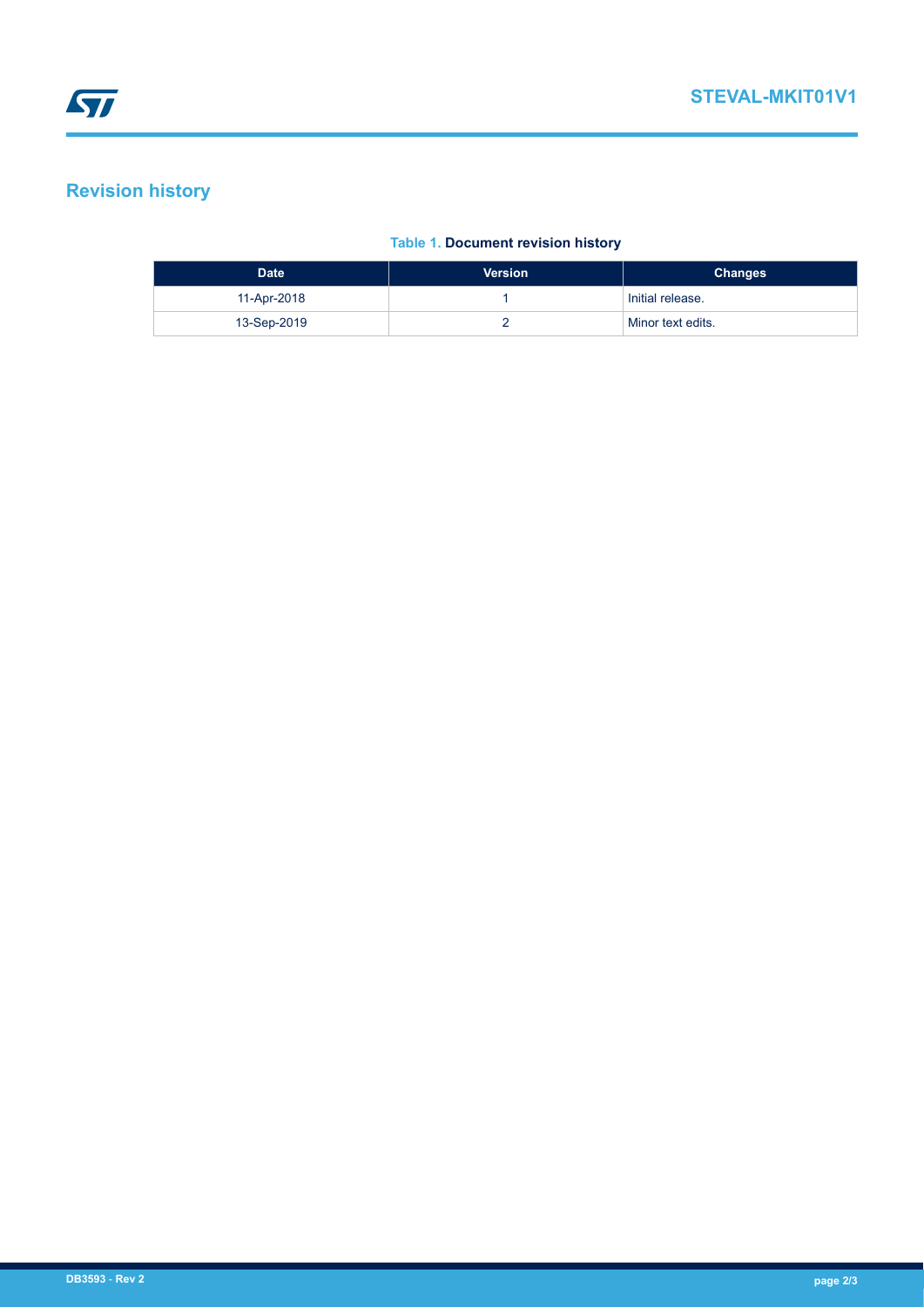# **Revision history**

### **Table 1. Document revision history**

| <b>Date</b> | <b>Version</b> | <b>Changes</b>    |
|-------------|----------------|-------------------|
| 11-Apr-2018 |                | Initial release.  |
| 13-Sep-2019 |                | Minor text edits. |